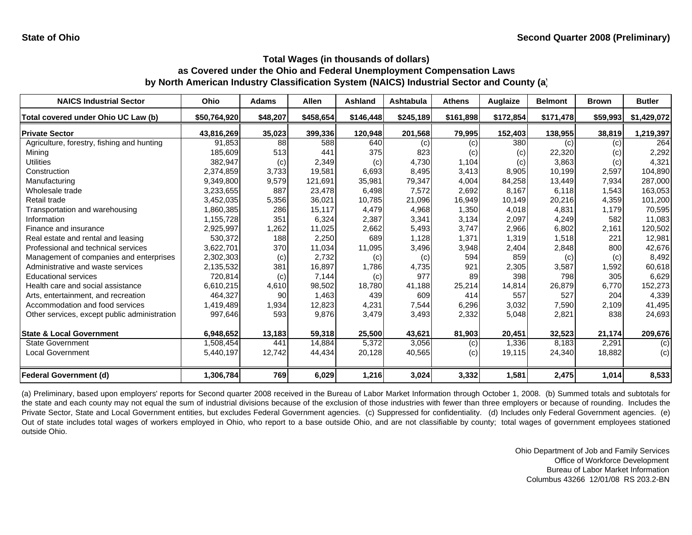| <b>NAICS Industrial Sector</b>               | <b>Ohio</b>  | <b>Adams</b> | <b>Allen</b> | Ashland   | Ashtabula | <b>Athens</b> | Auglaize  | <b>Belmont</b> | <b>Brown</b> | <b>Butler</b> |
|----------------------------------------------|--------------|--------------|--------------|-----------|-----------|---------------|-----------|----------------|--------------|---------------|
| Total covered under Ohio UC Law (b)          | \$50,764,920 | \$48,207     | \$458,654    | \$146,448 | \$245,189 | \$161,898     | \$172,854 | \$171,478      | \$59,993     | \$1,429,072   |
| <b>Private Sector</b>                        | 43,816,269   | 35,023       | 399,336      | 120,948   | 201,568   | 79,995        | 152,403   | 138,955        | 38,819       | 1,219,397     |
| Agriculture, forestry, fishing and hunting   | 91,853       | 88           | 588          | 640       | (c)       | (c)           | 380       | (c)            | (c)          | 264           |
| Mining                                       | 185,609      | 513          | 441          | 375       | 823       | (c)           | (c)       | 22,320         | (c)          | 2,292         |
| Utilities                                    | 382,947      | (c)          | 2,349        | (c)       | 4,730     | 1,104         | (c)       | 3,863          | (c)          | 4,321         |
| Construction                                 | 2,374,859    | 3,733        | 19,581       | 6,693     | 8,495     | 3,413         | 8,905     | 10,199         | 2,597        | 104,890       |
| Manufacturing                                | 9,349,800    | 9,579        | 121.691      | 35,981    | 79,347    | 4,004         | 84,258    | 13,449         | 7,934        | 287,000       |
| Wholesale trade                              | 3,233,655    | 887          | 23,478       | 6,498     | 7,572     | 2,692         | 8.167     | 6,118          | 1,543        | 163,053       |
| Retail trade                                 | 3,452,035    | 5,356        | 36,021       | 10,785    | 21,096    | 16,949        | 10,149    | 20,216         | 4,359        | 101,200       |
| Transportation and warehousing               | 1,860,385    | 286          | 15,117       | 4,479     | 4,968     | 1,350         | 4,018     | 4,831          | 1,179        | 70,595        |
| Information                                  | 1,155,728    | 351          | 6,324        | 2,387     | 3,341     | 3,134         | 2,097     | 4,249          | 582          | 11,083        |
| Finance and insurance                        | 2,925,997    | 1,262        | 11,025       | 2,662     | 5,493     | 3,747         | 2,966     | 6,802          | 2,161        | 120,502       |
| Real estate and rental and leasing           | 530,372      | 188          | 2,250        | 689       | 1,128     | 1,371         | 1,319     | 1,518          | 221          | 12,981        |
| Professional and technical services          | 3,622,701    | 370          | 11,034       | 11,095    | 3,496     | 3,948         | 2,404     | 2,848          | 800          | 42,676        |
| Management of companies and enterprises      | 2,302,303    | (c)          | 2,732        | (c)       | (c)       | 594           | 859       | (c)            | (c)          | 8,492         |
| Administrative and waste services            | 2,135,532    | 381          | 16,897       | 1,786     | 4,735     | 921           | 2,305     | 3,587          | 1,592        | 60,618        |
| <b>Educational services</b>                  | 720.814      | (c)          | 7,144        | (c)       | 977       | 89            | 398       | 798            | 305          | 6,629         |
| Health care and social assistance            | 6,610,215    | 4,610        | 98,502       | 18.780    | 41,188    | 25,214        | 14,814    | 26,879         | 6,770        | 152,273       |
| Arts, entertainment, and recreation          | 464.327      | 90           | 1,463        | 439       | 609       | 414           | 557       | 527            | 204          | 4,339         |
| Accommodation and food services              | 1,419,489    | 1,934        | 12,823       | 4,231     | 7,544     | 6,296         | 3,032     | 7,590          | 2,109        | 41,495        |
| Other services, except public administration | 997,646      | 593          | 9,876        | 3,479     | 3,493     | 2,332         | 5,048     | 2,821          | 838          | 24,693        |
| <b>State &amp; Local Government</b>          | 6,948,652    | 13,183       | 59,318       | 25,500    | 43,621    | 81,903        | 20,451    | 32,523         | 21,174       | 209,676       |
| <b>State Government</b>                      | 1,508,454    | 441          | 14,884       | 5,372     | 3,056     | (c)           | 1,336     | 8,183          | 2,291        | (c)           |
| Local Government                             | 5,440,197    | 12,742       | 44,434       | 20,128    | 40,565    | (c)           | 19,115    | 24,340         | 18,882       | (c)           |
| Federal Government (d)                       | 1,306,784    | 769          | 6,029        | 1,216     | 3,024     | 3,332         | 1,581     | 2,475          | 1,014        | 8,533         |

(a) Preliminary, based upon employers' reports for Second quarter 2008 received in the Bureau of Labor Market Information through October 1, 2008. (b) Summed totals and subtotals for the state and each county may not equal the sum of industrial divisions because of the exclusion of those industries with fewer than three employers or because of rounding. Includes the Private Sector, State and Local Government entities, but excludes Federal Government agencies. (c) Suppressed for confidentiality. (d) Includes only Federal Government agencies. (e) Out of state includes total wages of workers employed in Ohio, who report to <sup>a</sup> base outside Ohio, and are not classifiable by county; total wages of government employees stationed outside Ohio.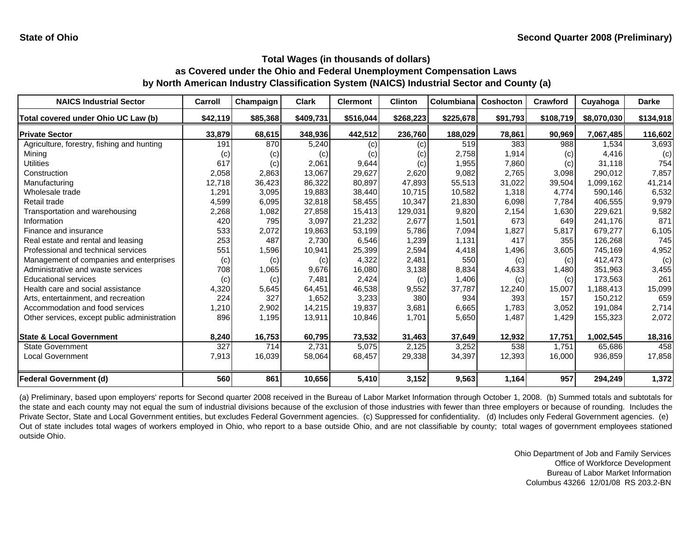| <b>NAICS Industrial Sector</b>               | Carroll  | Champaign | <b>Clark</b> | <b>Clermont</b> | <b>Clinton</b> | Columbiana | <b>Coshocton</b> | <b>Crawford</b> | Cuyahoga    | <b>Darke</b> |
|----------------------------------------------|----------|-----------|--------------|-----------------|----------------|------------|------------------|-----------------|-------------|--------------|
| Total covered under Ohio UC Law (b)          | \$42,119 | \$85,368  | \$409,731    | \$516,044       | \$268,223      | \$225,678  | \$91,793         | \$108,719       | \$8,070,030 | \$134,918    |
| <b>Private Sector</b>                        | 33,879   | 68,615    | 348,936      | 442,512         | 236,760        | 188,029    | 78,861           | 90,969          | 7,067,485   | 116,602      |
| Agriculture, forestry, fishing and hunting   | 191      | 870       | 5,240        | (c)             | (c)            | 519        | 383              | 988             | 1.534       | 3,693        |
| Mining                                       | (C)      | (c)       | (c)          | (c)             | (c)            | 2,758      | 1,914            | (c)             | 4,416       | (c)          |
| Utilities                                    | 617      | (c)       | 2,061        | 9.644           | (c)            | 1,955      | 7,860            | (c)             | 31.118      | 754          |
| Construction                                 | 2,058    | 2,863     | 13.067       | 29,627          | 2,620          | 9,082      | 2,765            | 3,098           | 290,012     | 7,857        |
| Manufacturing                                | 12,718   | 36,423    | 86,322       | 80,897          | 47,893         | 55,513     | 31,022           | 39,504          | 1,099,162   | 41,214       |
| Wholesale trade                              | 1,291    | 3,095     | 19,883       | 38,440          | 10,715         | 10,582     | 1,318            | 4,774           | 590,146     | 6,532        |
| Retail trade                                 | 4,599    | 6,095     | 32,818       | 58,455          | 10,347         | 21,830     | 6,098            | 7,784           | 406,555     | 9,979        |
| Transportation and warehousing               | 2,268    | 1,082     | 27,858       | 15,413          | 129,031        | 9,820      | 2,154            | 1,630           | 229,621     | 9,582        |
| Information                                  | 420      | 795       | 3,097        | 21,232          | 2,677          | 1,501      | 673              | 649             | 241.176     | 871          |
| Finance and insurance                        | 533      | 2,072     | 19,863       | 53,199          | 5,786          | 7,094      | 1,827            | 5.817           | 679,277     | 6,105        |
| Real estate and rental and leasing           | 253      | 487       | 2,730        | 6,546           | 1,239          | 1,131      | 417              | 355             | 126,268     | 745          |
| Professional and technical services          | 551      | 1,596     | 10,941       | 25,399          | 2,594          | 4,418      | 1,496            | 3,605           | 745,169     | 4,952        |
| Management of companies and enterprises      | (c)      | (c)       | (c)          | 4,322           | 2,481          | 550        | (c)              | (c)             | 412,473     | (c)          |
| Administrative and waste services            | 708      | 1,065     | 9,676        | 16,080          | 3,138          | 8,834      | 4,633            | 1,480           | 351,963     | 3,455        |
| <b>Educational services</b>                  | (c)      | (c)       | 7,481        | 2,424           | (c)            | 1,406      | (c)              | (c)             | 173,563     | 261          |
| Health care and social assistance            | 4,320    | 5,645     | 64,451       | 46,538          | 9,552          | 37,787     | 12,240           | 15,007          | 1,188,413   | 15,099       |
| Arts, entertainment, and recreation          | 224      | 327       | 1,652        | 3,233           | 380            | 934        | 393              | 157             | 150,212     | 659          |
| Accommodation and food services              | 1,210    | 2,902     | 14,215       | 19,837          | 3,681          | 6,665      | 1,783            | 3,052           | 191,084     | 2,714        |
| Other services, except public administration | 896      | 1,195     | 13,911       | 10,846          | 1.701          | 5,650      | 1,487            | 1,429           | 155,323     | 2,072        |
| <b>State &amp; Local Government</b>          | 8,240    | 16,753    | 60,795       | 73,532          | 31,463         | 37,649     | 12,932           | 17,751          | 1,002,545   | 18,316       |
| <b>State Government</b>                      | 327      | 714       | 2,731        | 5,075           | 2,125          | 3,252      | 538              | 1,751           | 65,686      | 458          |
| <b>Local Government</b>                      | 7,913    | 16,039    | 58,064       | 68,457          | 29,338         | 34,397     | 12,393           | 16,000          | 936,859     | 17,858       |
| <b>Federal Government (d)</b>                | 560      | 861       | 10,656       | 5,410           | 3,152          | 9,563      | 1,164            | 957             | 294,249     | 1,372        |

(a) Preliminary, based upon employers' reports for Second quarter 2008 received in the Bureau of Labor Market Information through October 1, 2008. (b) Summed totals and subtotals for the state and each county may not equal the sum of industrial divisions because of the exclusion of those industries with fewer than three employers or because of rounding. Includes the Private Sector, State and Local Government entities, but excludes Federal Government agencies. (c) Suppressed for confidentiality. (d) Includes only Federal Government agencies. (e) Out of state includes total wages of workers employed in Ohio, who report to <sup>a</sup> base outside Ohio, and are not classifiable by county; total wages of government employees stationed outside Ohio.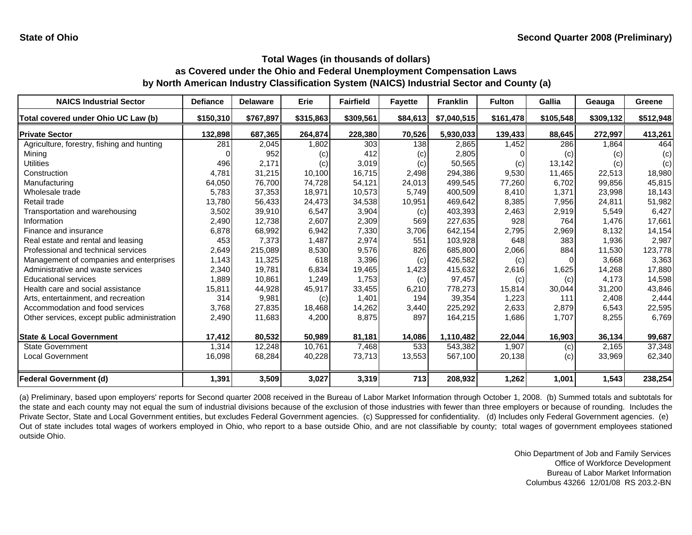| <b>NAICS Industrial Sector</b>               | <b>Defiance</b> | <b>Delaware</b> | <b>Erie</b> | <b>Fairfield</b> | <b>Fayette</b> | <b>Franklin</b> | <b>Fulton</b> | <b>Gallia</b> | Geauga      | Greene    |
|----------------------------------------------|-----------------|-----------------|-------------|------------------|----------------|-----------------|---------------|---------------|-------------|-----------|
| Total covered under Ohio UC Law (b)          | \$150,310       | \$767,897       | \$315,863   | \$309,561        | \$84,613       | \$7,040,515     | \$161,478     | \$105,548     | \$309,132   | \$512,948 |
| <b>Private Sector</b>                        | 132,898         | 687,365         | 264,874     | 228,380          | 70,526         | 5,930,033       | 139,433       | 88,645        | 272,997     | 413,261   |
| Agriculture, forestry, fishing and hunting   | 281             | 2,045           | 1,802       | 303              | 138            | 2,865           | 1,452         | 286           | <b>864,</b> | 464       |
| Mining                                       |                 | 952             | (c)         | 412              | (c)            | 2,805           |               | (c)           | (c)         | (c)       |
| Utilities                                    | 496             | 2,171           | (c)         | 3,019            | (c)            | 50,565          | (c)           | 13,142        | (c)         | (c)       |
| Construction                                 | 4,781           | 31,215          | 10,100      | 16,715           | 2,498          | 294,386         | 9,530         | 11,465        | 22,513      | 18,980    |
| Manufacturing                                | 64,050          | 76,700          | 74,728      | 54,121           | 24,013         | 499,545         | 77,260        | 6,702         | 99,856      | 45,815    |
| Wholesale trade                              | 5,783           | 37,353          | 18,971      | 10,573           | 5,749          | 400,509         | 8,410         | 1,371         | 23,998      | 18,143    |
| Retail trade                                 | 13,780          | 56,433          | 24,473      | 34,538           | 10,951         | 469,642         | 8,385         | 7,956         | 24,811      | 51,982    |
| Transportation and warehousing               | 3,502           | 39,910          | 6,547       | 3,904            | (c)            | 403,393         | 2,463         | 2,919         | 5,549       | 6,427     |
| Information                                  | 2,490           | 12,738          | 2,607       | 2,309            | 569            | 227,635         | 928           | 764           | 1,476       | 17,661    |
| Finance and insurance                        | 6,878           | 68,992          | 6,942       | 7,330            | 3,706          | 642,154         | 2,795         | 2,969         | 8,132       | 14,154    |
| Real estate and rental and leasing           | 453             | 7,373           | 1,487       | 2,974            | 551            | 103.928         | 648           | 383           | 1,936       | 2,987     |
| Professional and technical services          | 2,649           | 215,089         | 8,530       | 9,576            | 826            | 685,800         | 2,066         | 884           | 11,530      | 123,778   |
| Management of companies and enterprises      | 1,143           | 11,325          | 618         | 3,396            | (c)            | 426,582         | (c)           | 0             | 3.668       | 3,363     |
| Administrative and waste services            | 2,340           | 19,781          | 6,834       | 19.465           | 1,423          | 415,632         | 2,616         | 1,625         | 14.268      | 17,880    |
| <b>Educational services</b>                  | 1,889           | 10,861          | 1,249       | 1,753            | (c)            | 97,457          | (c)           | (c)           | 4,173       | 14,598    |
| Health care and social assistance            | 15,811          | 44,928          | 45,917      | 33,455           | 6,210          | 778,273         | 15,814        | 30,044        | 31,200      | 43,846    |
| Arts, entertainment, and recreation          | 314             | 9,981           | (c)         | 1,401            | 194            | 39,354          | 1,223         | 111           | 2,408       | 2,444     |
| Accommodation and food services              | 3,768           | 27,835          | 18,468      | 14,262           | 3,440          | 225,292         | 2,633         | 2,879         | 6,543       | 22,595    |
| Other services, except public administration | 2,490           | 11,683          | 4,200       | 8,875            | 897            | 164,215         | 1,686         | 1,707         | 8,255       | 6,769     |
| <b>State &amp; Local Government</b>          | 17,412          | 80,532          | 50,989      | 81,181           | 14,086         | 1,110,482       | 22,044        | 16,903        | 36,134      | 99,687    |
| <b>State Government</b>                      | 1,314           | 12,248          | 10,761      | 7,468            | 533            | 543,382         | 1,907         | (c)           | 2,165       | 37,348    |
| <b>Local Government</b>                      | 16,098          | 68,284          | 40,228      | 73,713           | 13,553         | 567,100         | 20,138        | (c)           | 33,969      | 62,340    |
| <b>Federal Government (d)</b>                | 1,391           | 3,509           | 3,027       | 3,319            | 713            | 208,932         | 1,262         | 1,001         | 1,543       | 238,254   |

(a) Preliminary, based upon employers' reports for Second quarter 2008 received in the Bureau of Labor Market Information through October 1, 2008. (b) Summed totals and subtotals for the state and each county may not equal the sum of industrial divisions because of the exclusion of those industries with fewer than three employers or because of rounding. Includes the Private Sector, State and Local Government entities, but excludes Federal Government agencies. (c) Suppressed for confidentiality. (d) Includes only Federal Government agencies. (e) Out of state includes total wages of workers employed in Ohio, who report to <sup>a</sup> base outside Ohio, and are not classifiable by county; total wages of government employees stationed outside Ohio.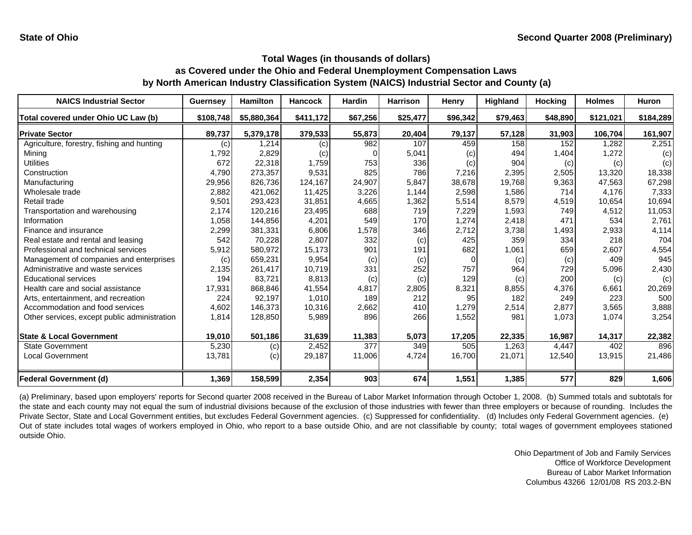| <b>NAICS Industrial Sector</b>               | <b>Guernsey</b> | <b>Hamilton</b> | <b>Hancock</b> | <b>Hardin</b> | <b>Harrison</b> | Henry     | <b>Highland</b> | <b>Hocking</b> | <b>Holmes</b> | <b>Huron</b> |
|----------------------------------------------|-----------------|-----------------|----------------|---------------|-----------------|-----------|-----------------|----------------|---------------|--------------|
| Total covered under Ohio UC Law (b)          | \$108,748       | \$5,880,364     | \$411,172      | \$67,256      | \$25,477        | \$96,342  | \$79,463        | \$48,890       | \$121,021     | \$184,289    |
| <b>Private Sector</b>                        | 89,737          | 5,379,178       | 379,533        | 55,873        | 20,404          | 79,137    | 57,128          | 31,903         | 106,704       | 161,907      |
| Agriculture, forestry, fishing and hunting   | (c)             | 1,214           | (c)            | 982           | 107             | 459       | 158             | 152            | 1,282         | 2,251        |
| Mining                                       | 1,792           | 2,829           | (c)            |               | 5,041           | $\left( $ | 494             | 1,404          | 1,272         | (c)          |
| <b>Utilities</b>                             | 672             | 22,318          | 1,759          | 753           | 336             | (c)       | 904             | (c)            | (c)           | (c)          |
| Construction                                 | 4,790           | 273,357         | 9,531          | 825           | 786             | 7,216     | 2,395           | 2,505          | 13,320        | 18,338       |
| Manufacturing                                | 29,956          | 826,736         | 124,167        | 24,907        | 5,847           | 38,678    | 19,768          | 9,363          | 47.563        | 67,298       |
| Wholesale trade                              | 2,882           | 421,062         | 11,425         | 3,226         | 1.144           | 2,598     | 1,586           | 714            | 4.176         | 7,333        |
| Retail trade                                 | 9,501           | 293,423         | 31,851         | 4,665         | 1,362           | 5,514     | 8,579           | 4,519          | 10.654        | 10,694       |
| Transportation and warehousing               | 2,174           | 120,216         | 23,495         | 688           | 719             | 7,229     | 1,593           | 749            | 4,512         | 11,053       |
| Information                                  | 1,058           | 144,856         | 4,201          | 549           | 170             | 1,274     | 2,418           | 471            | 534           | 2,761        |
| Finance and insurance                        | 2,299           | 381,331         | 6,806          | 1,578         | 346             | 2,712     | 3,738           | 1,493          | 2,933         | 4,114        |
| Real estate and rental and leasing           | 542             | 70,228          | 2,807          | 332           | (c)             | 425       | 359             | 334            | 218           | 704          |
| Professional and technical services          | 5,912           | 580,972         | 15,173         | 901           | 191             | 682       | 1,061           | 659            | 2,607         | 4,554        |
| Management of companies and enterprises      | (c)             | 659,231         | 9,954          | (c)           | (c)             | $\Omega$  | (c)             | (c)            | 409           | 945          |
| Administrative and waste services            | 2,135           | 261,417         | 10,719         | 331           | 252             | 757       | 964             | 729            | 5,096         | 2,430        |
| <b>Educational services</b>                  | 194             | 83,721          | 8,813          | (c)           | (c)             | 129       | (c)             | 200            | (c)           | (c)          |
| Health care and social assistance            | 17,931          | 868,846         | 41,554         | 4,817         | 2,805           | 8,321     | 8,855           | 4,376          | 6,661         | 20,269       |
| Arts, entertainment, and recreation          | 224             | 92,197          | 1,010          | 189           | 212             | 95        | 182             | 249            | 223           | 500          |
| Accommodation and food services              | 4,602           | 146,373         | 10,316         | 2,662         | 410             | 1,279     | 2,514           | 2,877          | 3,565         | 3,888        |
| Other services, except public administration | 1,814           | 128,850         | 5,989          | 896           | 266             | 1,552     | 981             | 1,073          | 1,074         | 3,254        |
| <b>State &amp; Local Government</b>          | 19,010          | 501,186         | 31,639         | 11,383        | 5,073           | 17,205    | 22,335          | 16,987         | 14,317        | 22,382       |
| <b>State Government</b>                      | 5,230           | (c)             | 2,452          | 377           | 349             | 505       | 1.263           | 4,447          | 402           | 896          |
| Local Government                             | 13,781          | (c)             | 29,187         | 11,006        | 4,724           | 16,700    | 21,071          | 12,540         | 13,915        | 21,486       |
| <b>Federal Government (d)</b>                | 1,369           | 158,599         | 2,354          | 903           | 674             | 1,551     | 1,385           | 577            | 829           | 1,606        |

(a) Preliminary, based upon employers' reports for Second quarter 2008 received in the Bureau of Labor Market Information through October 1, 2008. (b) Summed totals and subtotals for the state and each county may not equal the sum of industrial divisions because of the exclusion of those industries with fewer than three employers or because of rounding. Includes the Private Sector, State and Local Government entities, but excludes Federal Government agencies. (c) Suppressed for confidentiality. (d) Includes only Federal Government agencies. (e) Out of state includes total wages of workers employed in Ohio, who report to <sup>a</sup> base outside Ohio, and are not classifiable by county; total wages of government employees stationed outside Ohio.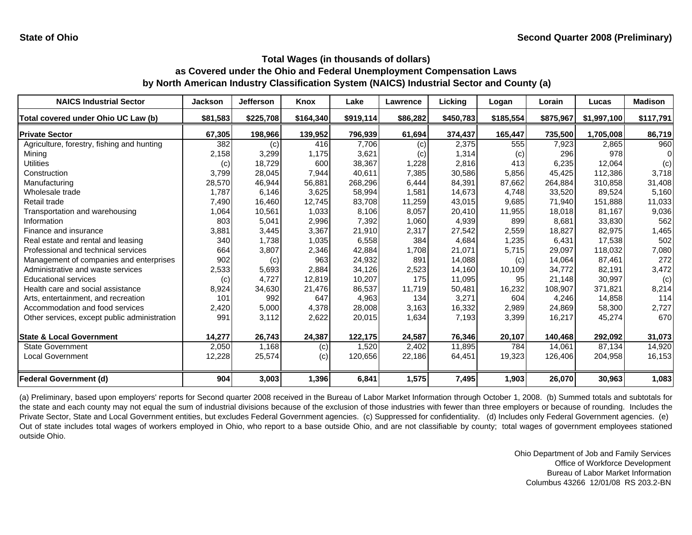| <b>NAICS Industrial Sector</b>               | <b>Jackson</b> | <b>Jefferson</b> | <b>Knox</b> | Lake      | Lawrence | Licking   | Logan     | Lorain    | Lucas       | <b>Madison</b> |
|----------------------------------------------|----------------|------------------|-------------|-----------|----------|-----------|-----------|-----------|-------------|----------------|
| Total covered under Ohio UC Law (b)          | \$81,583       | \$225,708        | \$164,340   | \$919,114 | \$86,282 | \$450,783 | \$185,554 | \$875,967 | \$1,997,100 | \$117,791      |
| <b>Private Sector</b>                        | 67,305         | 198,966          | 139,952     | 796,939   | 61,694   | 374,437   | 165,447   | 735,500   | 1,705,008   | 86,719         |
| Agriculture, forestry, fishing and hunting   | 382            | (c)              | 416         | 7,706     | (c)      | 2,375     | 555       | 7,923     | 2,865       | 960            |
| Mining                                       | 2,158          | 3,299            | 1,175       | 3,621     | (c)      | 1,314     | (c)       | 296       | 978         |                |
| Utilities                                    | (c)            | 18,729           | 600         | 38,367    | 1,228    | 2,816     | 413       | 6,235     | 12,064      | (c)            |
| Construction                                 | 3,799          | 28,045           | 7,944       | 40,611    | 7,385    | 30,586    | 5,856     | 45,425    | 112,386     | 3,718          |
| Manufacturing                                | 28,570         | 46,944           | 56,881      | 268,296   | 6,444    | 84,391    | 87,662    | 264,884   | 310,858     | 31,408         |
| Wholesale trade                              | 1,787          | 6,146            | 3,625       | 58,994    | 1,581    | 14,673    | 4,748     | 33,520    | 89.524      | 5,160          |
| Retail trade                                 | 7,490          | 16,460           | 12,745      | 83,708    | 11,259   | 43,015    | 9,685     | 71,940    | 151,888     | 11,033         |
| Transportation and warehousing               | 1,064          | 10,561           | 1,033       | 8,106     | 8,057    | 20,410    | 11,955    | 18,018    | 81,167      | 9,036          |
| Information                                  | 803            | 5,041            | 2,996       | 7,392     | 1,060    | 4,939     | 899       | 8,681     | 33,830      | 562            |
| Finance and insurance                        | 3,881          | 3,445            | 3,367       | 21,910    | 2,317    | 27,542    | 2,559     | 18,827    | 82,975      | 1,465          |
| Real estate and rental and leasing           | 340            | 1,738            | 1,035       | 6,558     | 384      | 4,684     | 1,235     | 6.431     | 17.538      | 502            |
| Professional and technical services          | 664            | 3,807            | 2,346       | 42,884    | 1,708    | 21,071    | 5,715     | 29,097    | 118,032     | 7,080          |
| Management of companies and enterprises      | 902            | (c)              | 963         | 24,932    | 891      | 14,088    | (c)       | 14,064    | 87,461      | 272            |
| Administrative and waste services            | 2,533          | 5,693            | 2,884       | 34,126    | 2,523    | 14,160    | 10,109    | 34,772    | 82,191      | 3,472          |
| <b>Educational services</b>                  | (c)            | 4,727            | 12,819      | 10,207    | 175      | 11,095    | 95        | 21,148    | 30,997      | (c)            |
| Health care and social assistance            | 8,924          | 34,630           | 21,476      | 86,537    | 11,719   | 50,481    | 16,232    | 108,907   | 371,821     | 8,214          |
| Arts, entertainment, and recreation          | 101            | 992              | 647         | 4,963     | 134      | 3,271     | 604       | 4,246     | 14,858      | 114            |
| Accommodation and food services              | 2,420          | 5,000            | 4,378       | 28,008    | 3,163    | 16,332    | 2,989     | 24,869    | 58,300      | 2,727          |
| Other services, except public administration | 991            | 3,112            | 2,622       | 20,015    | 1,634    | 7,193     | 3,399     | 16,217    | 45,274      | 670            |
| <b>State &amp; Local Government</b>          | 14,277         | 26,743           | 24,387      | 122,175   | 24,587   | 76,346    | 20,107    | 140,468   | 292,092     | 31,073         |
| <b>State Government</b>                      | 2,050          | 1,168            | (c)         | 1,520     | 2,402    | 11,895    | 784       | 14,061    | 87,134      | 14,920         |
| <b>Local Government</b>                      | 12,228         | 25,574           | (c)         | 120,656   | 22,186   | 64,451    | 19,323    | 126,406   | 204,958     | 16,153         |
| <b>Federal Government (d)</b>                | 904            | 3,003            | 1,396       | 6,841     | 1,575    | 7,495     | 1,903     | 26,070    | 30,963      | 1,083          |

(a) Preliminary, based upon employers' reports for Second quarter 2008 received in the Bureau of Labor Market Information through October 1, 2008. (b) Summed totals and subtotals for the state and each county may not equal the sum of industrial divisions because of the exclusion of those industries with fewer than three employers or because of rounding. Includes the Private Sector, State and Local Government entities, but excludes Federal Government agencies. (c) Suppressed for confidentiality. (d) Includes only Federal Government agencies. (e) Out of state includes total wages of workers employed in Ohio, who report to <sup>a</sup> base outside Ohio, and are not classifiable by county; total wages of government employees stationed outside Ohio.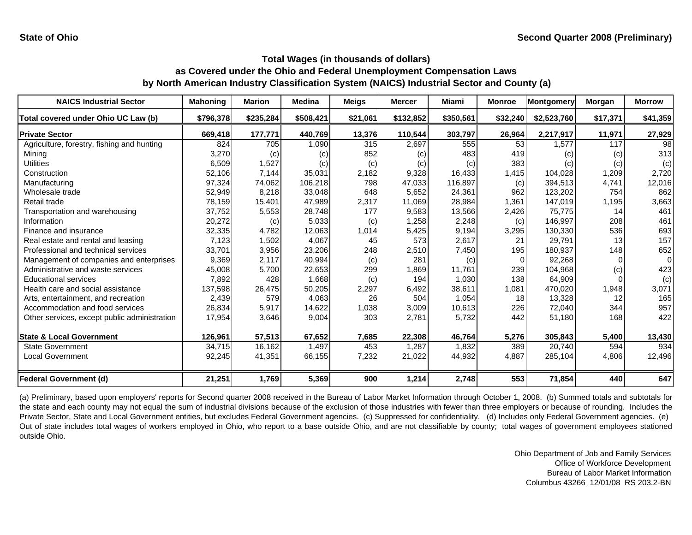| <b>NAICS Industrial Sector</b>               | <b>Mahoning</b> | <b>Marion</b> | <b>Medina</b> | Meigs    | <b>Mercer</b> | <b>Miami</b> | <b>Monroe</b> | Montgomery        | Morgan   | <b>Morrow</b> |
|----------------------------------------------|-----------------|---------------|---------------|----------|---------------|--------------|---------------|-------------------|----------|---------------|
| Total covered under Ohio UC Law (b)          | \$796,378       | \$235,284     | \$508,421     | \$21,061 | \$132,852     | \$350,561    | \$32,240      | \$2,523,760       | \$17,371 | \$41,359      |
| <b>Private Sector</b>                        | 669,418         | 177,771       | 440,769       | 13,376   | 110,544       | 303,797      | 26,964        | 2,217,917         | 11,971   | 27,929        |
| Agriculture, forestry, fishing and hunting   | 824             | 705           | 1,090         | 315      | 2,697         | 555          | 53            | 1.577             | 117      | 98            |
| Mining                                       | 3,270           | (c)           | (c)           | 852      | (c)           | 483          | 419           | $\left( c\right)$ | (c)      | 313           |
| Utilities                                    | 6,509           | 1,527         | (c)           | (c)      | (c)           | (c)          | 383           | $\left( c\right)$ | (c)      | (c)           |
| Construction                                 | 52,106          | 7,144         | 35,031        | 2,182    | 9,328         | 16,433       | 1,415         | 104,028           | 1,209    | 2,720         |
| Manufacturing                                | 97,324          | 74,062        | 106,218       | 798      | 47,033        | 116,897      | (c)           | 394,513           | 4,741    | 12,016        |
| Wholesale trade                              | 52,949          | 8,218         | 33,048        | 648      | 5,652         | 24,361       | 962           | 123,202           | 754      | 862           |
| Retail trade                                 | 78,159          | 15,401        | 47,989        | 2,317    | 11,069        | 28,984       | 1,361         | 147,019           | 1,195    | 3,663         |
| Transportation and warehousing               | 37,752          | 5,553         | 28,748        | 177      | 9,583         | 13,566       | 2,426         | 75,775            | 14       | 461           |
| Information                                  | 20,272          | (c)           | 5,033         | (c)      | .258          | 2,248        | (c)           | 146,997           | 208      | 461           |
| Finance and insurance                        | 32,335          | 4,782         | 12,063        | 1,014    | 5,425         | 9,194        | 3,295         | 130,330           | 536      | 693           |
| Real estate and rental and leasing           | 7,123           | 1,502         | 4,067         | 45       | 573           | 2,617        | 21            | 29,791            | 13       | 157           |
| Professional and technical services          | 33,701          | 3,956         | 23,206        | 248      | 2,510         | 7,450        | 195           | 180,937           | 148      | 652           |
| Management of companies and enterprises      | 9,369           | 2,117         | 40,994        | (c)      | 281           | (c)          | $\Omega$      | 92,268            |          | $\Omega$      |
| Administrative and waste services            | 45,008          | 5,700         | 22,653        | 299      | 1,869         | 11,761       | 239           | 104,968           | (c)      | 423           |
| <b>Educational services</b>                  | 7,892           | 428           | 1,668         | (c)      | 194           | 1,030        | 138           | 64,909            |          | (c)           |
| Health care and social assistance            | 137,598         | 26,475        | 50,205        | 2,297    | 6,492         | 38,611       | 1,081         | 470,020           | 1,948    | 3,071         |
| Arts, entertainment, and recreation          | 2,439           | 579           | 4,063         | 26       | 504           | 1,054        | 18            | 13,328            | 12       | 165           |
| Accommodation and food services              | 26,834          | 5,917         | 14,622        | 1,038    | 3,009         | 10,613       | 226           | 72,040            | 344      | 957           |
| Other services, except public administration | 17,954          | 3,646         | 9,004         | 303      | 2,781         | 5,732        | 442           | 51,180            | 168      | 422           |
| <b>State &amp; Local Government</b>          | 126,961         | 57,513        | 67,652        | 7,685    | 22,308        | 46,764       | 5,276         | 305,843           | 5,400    | 13,430        |
| <b>State Government</b>                      | 34,715          | 16,162        | 1,497         | 453      | 1.287         | 1,832        | 389           | 20.740            | 594      | 934           |
| <b>Local Government</b>                      | 92,245          | 41,351        | 66,155        | 7,232    | 21,022        | 44,932       | 4,887         | 285,104           | 4,806    | 12,496        |
| <b>Federal Government (d)</b>                | 21,251          | 1,769         | 5,369         | 900      | 1,214         | 2,748        | 553           | 71,854            | 440      | 647           |

(a) Preliminary, based upon employers' reports for Second quarter 2008 received in the Bureau of Labor Market Information through October 1, 2008. (b) Summed totals and subtotals for the state and each county may not equal the sum of industrial divisions because of the exclusion of those industries with fewer than three employers or because of rounding. Includes the Private Sector, State and Local Government entities, but excludes Federal Government agencies. (c) Suppressed for confidentiality. (d) Includes only Federal Government agencies. (e) Out of state includes total wages of workers employed in Ohio, who report to <sup>a</sup> base outside Ohio, and are not classifiable by county; total wages of government employees stationed outside Ohio.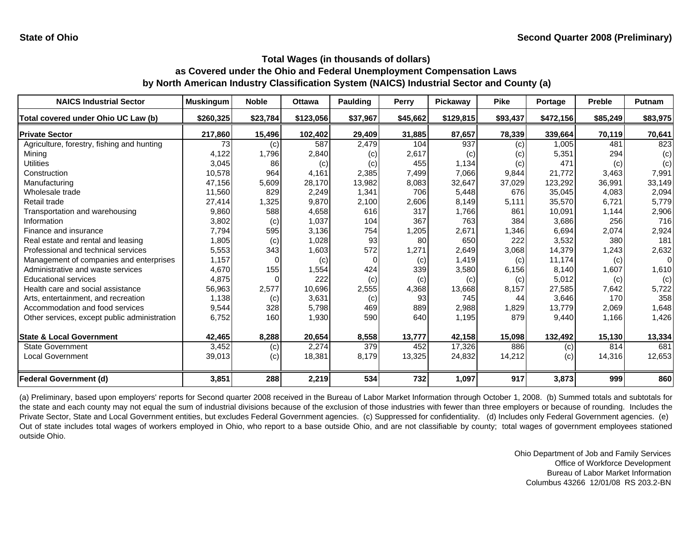| <b>NAICS Industrial Sector</b>               | <b>Muskingum</b> | <b>Noble</b> | <b>Ottawa</b> | <b>Paulding</b> | <b>Perry</b> | Pickaway  | <b>Pike</b> | Portage   | <b>Preble</b> | Putnam   |
|----------------------------------------------|------------------|--------------|---------------|-----------------|--------------|-----------|-------------|-----------|---------------|----------|
| Total covered under Ohio UC Law (b)          | \$260,325        | \$23,784     | \$123,056     | \$37,967        | \$45,662     | \$129,815 | \$93,437    | \$472,156 | \$85,249      | \$83,975 |
| <b>Private Sector</b>                        | 217,860          | 15,496       | 102,402       | 29,409          | 31,885       | 87,657    | 78,339      | 339,664   | 70,119        | 70,641   |
| Agriculture, forestry, fishing and hunting   | 73               | (c)          | 587           | 2,479           | 104          | 937       | (c)         | 1,005     | 481           | 823      |
| Minina                                       | 4,122            | 1,796        | 2,840         | (c)             | 2,617        | (c)       | (c)         | 5,351     | 294           | (c)      |
| Utilities                                    | 3,045            | 86           | (c)           | (c)             | 455          | 1,134     | (c)         | 471       | (c)           | (c)      |
| Construction                                 | 10,578           | 964          | 4,161         | 2,385           | 7,499        | 7,066     | 9,844       | 21.772    | 3,463         | 7,991    |
| Manufacturing                                | 47,156           | 5,609        | 28,170        | 13,982          | 8,083        | 32,647    | 37,029      | 123,292   | 36,991        | 33,149   |
| Wholesale trade                              | 11,560           | 829          | 2,249         | 1,341           | 706          | 5,448     | 676         | 35,045    | 4.083         | 2,094    |
| Retail trade                                 | 27,414           | 1,325        | 9,870         | 2,100           | 2,606        | 8,149     | 5,111       | 35,570    | 6,721         | 5,779    |
| Transportation and warehousing               | 9,860            | 588          | 4,658         | 616             | 317          | 1,766     | 861         | 10,091    | 1,144         | 2,906    |
| Information                                  | 3,802            | (c)          | 1,037         | 104             | 367          | 763       | 384         | 3,686     | 256           | 716      |
| Finance and insurance                        | 7,794            | 595          | 3,136         | 754             | 1,205        | 2,671     | 1,346       | 6,694     | 2,074         | 2,924    |
| Real estate and rental and leasing           | 1,805            | (c)          | 1,028         | 93              | 80           | 650       | 222         | 3,532     | 380           | 181      |
| Professional and technical services          | 5,553            | 343          | 1,603         | 572             | 1,271        | 2,649     | 3,068       | 14,379    | 1,243         | 2,632    |
| Management of companies and enterprises      | 1,157            |              | (c)           | O               | (c)          | 1.419     | (c)         | 11,174    | (c)           | $\Omega$ |
| Administrative and waste services            | 4,670            | 155          | 1,554         | 424             | 339          | 3,580     | 6,156       | 8,140     | 1,607         | 1,610    |
| <b>Educational services</b>                  | 4,875            |              | 222           | (c)             | (c)          | (c)       | (c)         | 5,012     | (c)           | (c)      |
| Health care and social assistance            | 56,963           | 2,577        | 10,696        | 2,555           | 4,368        | 13,668    | 8,157       | 27,585    | 7,642         | 5,722    |
| Arts, entertainment, and recreation          | 1,138            | (c)          | 3,631         | (c)             | 93           | 745       | 44          | 3,646     | 170           | 358      |
| Accommodation and food services              | 9,544            | 328          | 5,798         | 469             | 889          | 2,988     | 1,829       | 13,779    | 2,069         | 1,648    |
| Other services, except public administration | 6,752            | 160          | 1,930         | 590             | 640          | 1,195     | 879         | 9,440     | 1,166         | 1,426    |
| <b>State &amp; Local Government</b>          | 42,465           | 8,288        | 20,654        | 8,558           | 13,777       | 42,158    | 15,098      | 132,492   | 15,130        | 13,334   |
| <b>State Government</b>                      | 3,452            | (c)          | 2,274         | 379             | 452          | 17,326    | 886         | (c)       | 814           | 681      |
| <b>Local Government</b>                      | 39,013           | (c)          | 18,381        | 8,179           | 13,325       | 24,832    | 14,212      | (c)       | 14,316        | 12,653   |
| <b>Federal Government (d)</b>                | 3,851            | 288          | 2,219         | 534             | 732          | 1,097     | 917         | 3,873     | 999           | 860      |

(a) Preliminary, based upon employers' reports for Second quarter 2008 received in the Bureau of Labor Market Information through October 1, 2008. (b) Summed totals and subtotals for the state and each county may not equal the sum of industrial divisions because of the exclusion of those industries with fewer than three employers or because of rounding. Includes the Private Sector, State and Local Government entities, but excludes Federal Government agencies. (c) Suppressed for confidentiality. (d) Includes only Federal Government agencies. (e) Out of state includes total wages of workers employed in Ohio, who report to <sup>a</sup> base outside Ohio, and are not classifiable by county; total wages of government employees stationed outside Ohio.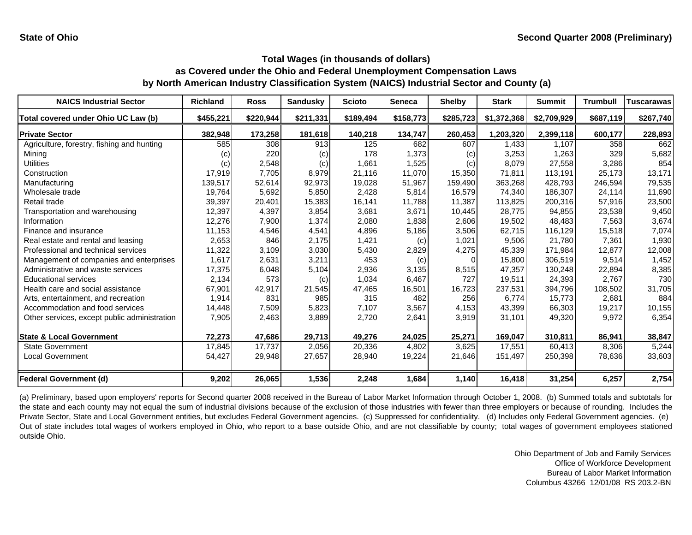| <b>NAICS Industrial Sector</b>               | Richland  | <b>Ross</b> | <b>Sandusky</b> | <b>Scioto</b> | <b>Seneca</b> | <b>Shelby</b> | <b>Stark</b> | <b>Summit</b> | <b>Trumbull</b> | <b>Tuscarawas</b> |
|----------------------------------------------|-----------|-------------|-----------------|---------------|---------------|---------------|--------------|---------------|-----------------|-------------------|
| Total covered under Ohio UC Law (b)          | \$455,221 | \$220,944   | \$211,331       | \$189,494     | \$158,773     | \$285,723     | \$1,372,368  | \$2,709,929   | \$687,119       | \$267,740         |
| <b>Private Sector</b>                        | 382,948   | 173,258     | 181,618         | 140,218       | 134,747       | 260,453       | 1,203,320    | 2,399,118     | 600,177         | 228,893           |
| Agriculture, forestry, fishing and hunting   | 585       | 308         | 913             | 125           | 682           | 607           | 1,433        | 1,107         | 358             | 662               |
| Mining                                       | (C)       | 220         | (c)             | 178           | 1,373         | (c)           | 3,253        | 1,263         | 329             | 5,682             |
| Utilities                                    | (c)       | 2,548       | (c)             | 1,661         | 1,525         | (c)           | 8,079        | 27,558        | 3,286           | 854               |
| Construction                                 | 17,919    | 7,705       | 8,979           | 21.116        | 11,070        | 15,350        | 71.811       | 113,191       | 25.173          | 13,171            |
| Manufacturing                                | 139,517   | 52,614      | 92,973          | 19,028        | 51,967        | 159,490       | 363,268      | 428,793       | 246,594         | 79,535            |
| Wholesale trade                              | 19,764    | 5,692       | 5,850           | 2,428         | 5,814         | 16,579        | 74.340       | 186,307       | 24,114          | 11,690            |
| Retail trade                                 | 39,397    | 20,401      | 15,383          | 16,141        | 11,788        | 11.387        | 113,825      | 200,316       | 57,916          | 23,500            |
| Transportation and warehousing               | 12,397    | 4,397       | 3,854           | 3,681         | 3,671         | 10,445        | 28,775       | 94,855        | 23,538          | 9,450             |
| Information                                  | 12,276    | 7,900       | 1,374           | 2,080         | 1,838         | 2,606         | 19,502       | 48,483        | 7,563           | 3,674             |
| Finance and insurance                        | 11,153    | 4,546       | 4,541           | 4,896         | 5,186         | 3,506         | 62,715       | 116,129       | 15,518          | 7,074             |
| Real estate and rental and leasing           | 2,653     | 846         | 2,175           | 1,421         | (c)           | 1,021         | 9,506        | 21,780        | 7,361           | 1,930             |
| Professional and technical services          | 11,322    | 3,109       | 3,030           | 5,430         | 2,829         | 4,275         | 45,339       | 171,984       | 12,877          | 12,008            |
| Management of companies and enterprises      | 1,617     | 2,631       | 3,211           | 453           | (c)           | $\Omega$      | 15,800       | 306.519       | 9,514           | 1,452             |
| Administrative and waste services            | 17,375    | 6,048       | 5,104           | 2,936         | 3,135         | 8,515         | 47,357       | 130,248       | 22,894          | 8,385             |
| <b>Educational services</b>                  | 2,134     | 573         | (c)             | 1,034         | 6,467         | 727           | 19,511       | 24,393        | 2,767           | 730               |
| Health care and social assistance            | 67,901    | 42,917      | 21,545          | 47,465        | 16,501        | 16,723        | 237,531      | 394,796       | 108,502         | 31,705            |
| Arts, entertainment, and recreation          | 1,914     | 831         | 985             | 315           | 482           | 256           | 6,774        | 15,773        | 2,681           | 884               |
| Accommodation and food services              | 14,448    | 7,509       | 5,823           | 7,107         | 3,567         | 4,153         | 43,399       | 66,303        | 19,217          | 10,155            |
| Other services, except public administration | 7,905     | 2,463       | 3,889           | 2,720         | 2,641         | 3,919         | 31,101       | 49,320        | 9,972           | 6,354             |
| <b>State &amp; Local Government</b>          | 72,273    | 47,686      | 29,713          | 49,276        | 24,025        | 25,271        | 169,047      | 310,811       | 86,941          | 38,847            |
| <b>State Government</b>                      | 17,845    | 17,737      | 2,056           | 20,336        | 4,802         | 3,625         | 17,551       | 60,413        | 8,306           | 5,244             |
| Local Government                             | 54,427    | 29,948      | 27,657          | 28,940        | 19,224        | 21,646        | 151,497      | 250,398       | 78,636          | 33,603            |
| <b>Federal Government (d)</b>                | 9,202     | 26,065      | 1,536           | 2,248         | 1,684         | 1,140         | 16,418       | 31,254        | 6,257           | 2,754             |

(a) Preliminary, based upon employers' reports for Second quarter 2008 received in the Bureau of Labor Market Information through October 1, 2008. (b) Summed totals and subtotals for the state and each county may not equal the sum of industrial divisions because of the exclusion of those industries with fewer than three employers or because of rounding. Includes the Private Sector, State and Local Government entities, but excludes Federal Government agencies. (c) Suppressed for confidentiality. (d) Includes only Federal Government agencies. (e) Out of state includes total wages of workers employed in Ohio, who report to <sup>a</sup> base outside Ohio, and are not classifiable by county; total wages of government employees stationed outside Ohio.